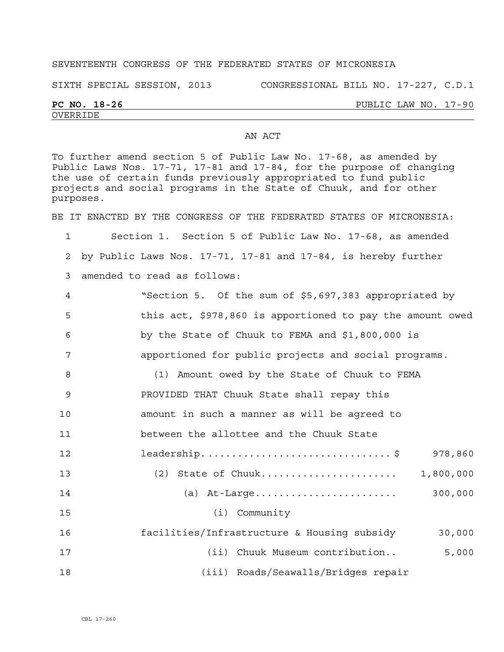## SEVENTEENTH CONGRESS OF THE FEDERATED STATES OF MICRONESIA

SIXTH SPECIAL SESSION, 2013 CONGRESSIONAL BILL NO. 17-227, C.D.1

## OVERRIDE

## **PC NO. 18-26** PUBLIC LAW NO. 17-90

## AN ACT

To further amend section 5 of Public Law No. 17-68, as amended by Public Laws Nos. 17-71, 17-81 and 17-84, for the purpose of changing the use of certain funds previously appropriated to fund public projects and social programs in the State of Chuuk, and for other purposes.

BE IT ENACTED BY THE CONGRESS OF THE FEDERATED STATES OF MICRONESIA:

1 Section 1. Section 5 of Public Law No. 17-68, as amended 2 by Public Laws Nos. 17-71, 17-81 and 17-84, is hereby further

3 amended to read as follows:

| 4  | "Section 5. Of the sum of \$5,697,383 appropriated by     |
|----|-----------------------------------------------------------|
| 5  | this act, \$978,860 is apportioned to pay the amount owed |
| 6  | by the State of Chuuk to FEMA and $$1,800,000$ is         |
| 7  | apportioned for public projects and social programs.      |
| 8  | (1) Amount owed by the State of Chuuk to FEMA             |
| 9  | PROVIDED THAT Chuuk State shall repay this                |
| 10 | amount in such a manner as will be agreed to              |
| 11 | between the allottee and the Chuuk State                  |
| 12 | leadership. \$<br>978,860                                 |
| 13 | (2) State of Chuuk<br>1,800,000                           |
| 14 | 300,000                                                   |
| 15 | $(i)$ Community                                           |
| 16 | facilities/Infrastructure & Housing subsidy<br>30,000     |

17 (ii) Chuuk Museum contribution.. 5,000 18 (iii) Roads/Seawalls/Bridges repair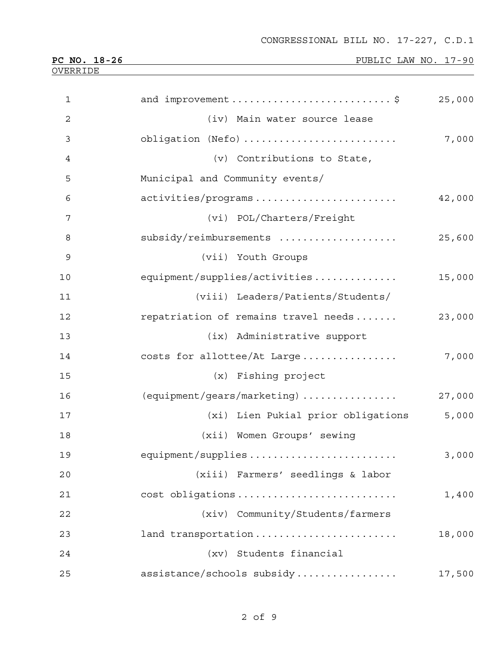| $\mathbf 1$    | and improvement \$<br>25,000                   |  |
|----------------|------------------------------------------------|--|
| $\overline{c}$ | (iv) Main water source lease                   |  |
| 3              | obligation (Nefo)<br>7,000                     |  |
| 4              | (v) Contributions to State,                    |  |
| 5              | Municipal and Community events/                |  |
| 6              | activities/programs<br>42,000                  |  |
| 7              | (vi) POL/Charters/Freight                      |  |
| 8              | subsidy/reimbursements<br>25,600               |  |
| 9              | (vii) Youth Groups                             |  |
| 10             | equipment/supplies/activities<br>15,000        |  |
| 11             | (viii) Leaders/Patients/Students/              |  |
| 12             | repatriation of remains travel needs<br>23,000 |  |
| 13             | (ix) Administrative support                    |  |
| 14             | costs for allottee/At Large<br>7,000           |  |
| 15             | (x) Fishing project                            |  |
| 16             | (equipment/gears/marketing)<br>27,000          |  |
| 17             | (xi) Lien Pukial prior obligations<br>5,000    |  |
| 18             | (xii) Women Groups' sewing                     |  |
| 19             | equipment/supplies<br>3,000                    |  |
| 20             | (xiii) Farmers' seedlings & labor              |  |
| 21             | cost obligations<br>1,400                      |  |
| 22             | (xiv) Community/Students/farmers               |  |
| 23             | land transportation<br>18,000                  |  |
| 24             | (xv) Students financial                        |  |
| 25             | assistance/schools subsidy<br>17,500           |  |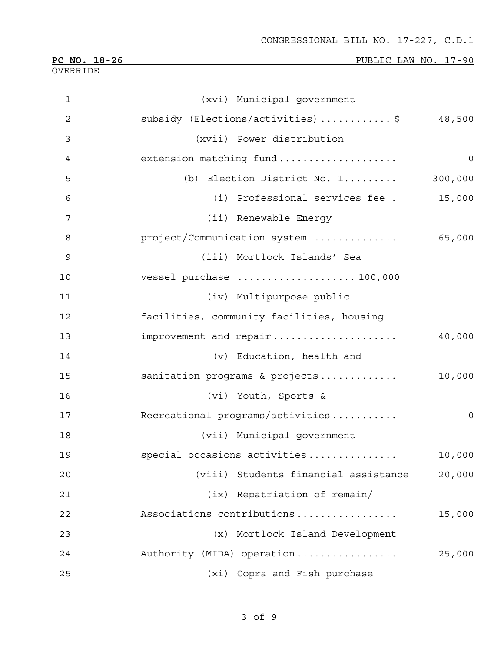| 1              | (xvi) Municipal government                       |
|----------------|--------------------------------------------------|
| $\overline{2}$ | subsidy (Elections/activities)\$<br>48,500       |
| 3              | (xvii) Power distribution                        |
| $\overline{4}$ | extension matching fund<br>$\overline{0}$        |
| 5              | (b) Election District No. 1<br>300,000           |
| 6              | (i) Professional services fee .<br>15,000        |
| 7              | (ii) Renewable Energy                            |
| 8              | project/Communication system<br>65,000           |
| 9              | (iii) Mortlock Islands' Sea                      |
| 10             | vessel purchase  100,000                         |
| 11             | (iv) Multipurpose public                         |
| 12             | facilities, community facilities, housing        |
| 13             | improvement and repair<br>40,000                 |
| 14             | (v) Education, health and                        |
| 15             | sanitation programs & projects<br>10,000         |
| 16             | (vi) Youth, Sports &                             |
| 17             | Recreational programs/activities<br>$\mathsf{O}$ |
| 18             | (vii) Municipal government                       |
| 19             | special occasions activities<br>10,000           |
| 20             | (viii) Students financial assistance<br>20,000   |
| 21             | (ix) Repatriation of remain/                     |
| 22             | Associations contributions<br>15,000             |
| 23             | (x) Mortlock Island Development                  |
| 24             | Authority (MIDA) operation<br>25,000             |
| 25             | (xi) Copra and Fish purchase                     |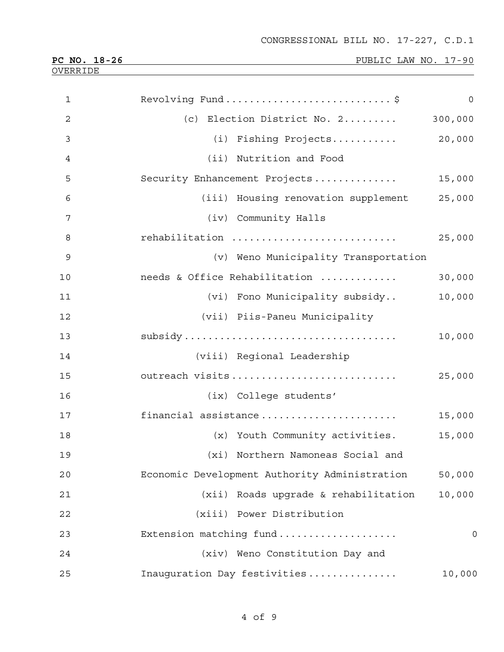| $\mathbf{1}$   | Revolving Fund\$                              | $\mathbf 0$    |
|----------------|-----------------------------------------------|----------------|
| $\overline{2}$ | (c) Election District No. 2                   | 300,000        |
| 3              | (i) Fishing Projects                          | 20,000         |
| 4              | (ii) Nutrition and Food                       |                |
| 5              | Security Enhancement Projects                 | 15,000         |
| 6              | (iii) Housing renovation supplement           | 25,000         |
|                |                                               |                |
| 7              | (iv) Community Halls                          |                |
| 8              | rehabilitation                                | 25,000         |
| $\mathsf 9$    | (v) Weno Municipality Transportation          |                |
| 10             | needs & Office Rehabilitation                 | 30,000         |
| 11             | (vi) Fono Municipality subsidy                | 10,000         |
| 12             | (vii) Piis-Paneu Municipality                 |                |
| 13             |                                               | 10,000         |
| 14             | (viii) Regional Leadership                    |                |
| 15             | outreach visits                               | 25,000         |
| 16             | (ix) College students'                        |                |
| 17             | financial assistance                          | 15,000         |
| 18             | (x) Youth Community activities.               | 15,000         |
| 19             | (xi) Northern Namoneas Social and             |                |
| 20             | Economic Development Authority Administration | 50,000         |
| 21             | (xii) Roads upgrade & rehabilitation          | 10,000         |
| 22             | (xiii) Power Distribution                     |                |
| 23             | Extension matching fund                       | $\overline{0}$ |
| 24             | (xiv) Weno Constitution Day and               |                |
| 25             | Inauguration Day festivities                  | 10,000         |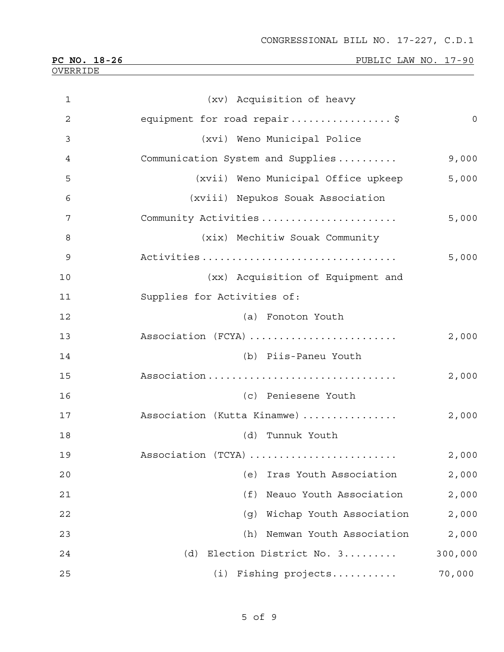| $\mathbf 1$    | (xv) Acquisition of heavy           |                |
|----------------|-------------------------------------|----------------|
| $\overline{c}$ | equipment for road repair\$         | $\mathbf 0$    |
| 3              | (xvi) Weno Municipal Police         |                |
| 4              | Communication System and Supplies   | 9,000          |
| 5              | (xvii) Weno Municipal Office upkeep | 5,000          |
| 6              | (xviii) Nepukos Souak Association   |                |
| 7              | Community Activities                | 5,000          |
| 8              | (xix) Mechitiw Souak Community      |                |
| 9              |                                     | 5,000          |
| 10             | (xx) Acquisition of Equipment and   |                |
| 11             | Supplies for Activities of:         |                |
| 12             | (a) Fonoton Youth                   |                |
| 13             | Association (FCYA)                  | 2,000          |
| 14             | (b) Piis-Paneu Youth                |                |
| 15             | Association                         | 2,000          |
| 16             | (c) Peniesene Youth                 |                |
| 17             | Association (Kutta Kinamwe)         | 2,000          |
| 18             | (d)<br>Tunnuk Youth                 |                |
| 19             | Association (TCYA)                  | $2\, , \, 000$ |
| 20             | Iras Youth Association<br>(e)       | 2,000          |
| 21             | Neauo Youth Association<br>(f)      | 2,000          |
| 22             | Wichap Youth Association<br>(g)     | 2,000          |
| 23             | Nemwan Youth Association<br>(h)     | 2,000          |
| 24             | Election District No. 3<br>(d)      | 300,000        |
| 25             | Fishing projects<br>(i)             | 70,000         |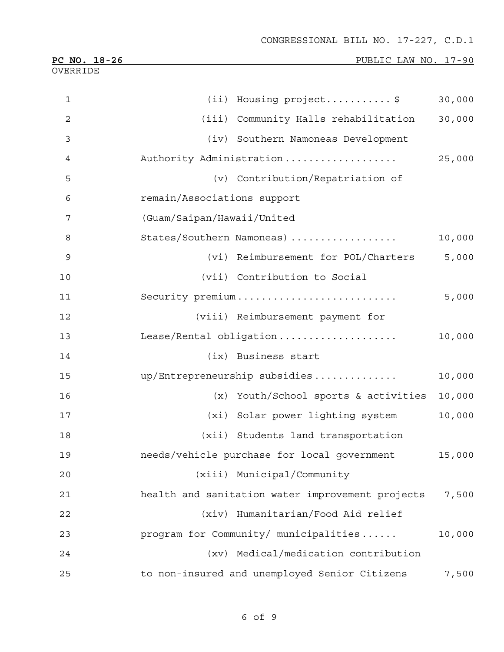CONGRESSIONAL BILL NO. 17-227, C.D.1

| PC NO. 18-26   |                             | PUBLIC LAW NO. 17-90                             |        |
|----------------|-----------------------------|--------------------------------------------------|--------|
| OVERRIDE       |                             |                                                  |        |
| $\mathbf{1}$   |                             | (ii) Housing project\$                           | 30,000 |
| $\overline{2}$ |                             | (iii) Community Halls rehabilitation             | 30,000 |
| 3              |                             | (iv) Southern Namoneas Development               |        |
| 4              |                             | Authority Administration                         | 25,000 |
| 5              |                             | (v) Contribution/Repatriation of                 |        |
| 6              | remain/Associations support |                                                  |        |
| 7              | (Guam/Saipan/Hawaii/United  |                                                  |        |
| 8              |                             | States/Southern Namoneas)                        | 10,000 |
| 9              |                             | (vi) Reimbursement for POL/Charters              | 5,000  |
| 10             |                             | (vii) Contribution to Social                     |        |
| 11             |                             | Security premium                                 | 5,000  |
| 12             |                             | (viii) Reimbursement payment for                 |        |
| 13             |                             | Lease/Rental obligation                          | 10,000 |
| 14             |                             | (ix) Business start                              |        |
| 15             |                             | up/Entrepreneurship subsidies                    | 10,000 |
| 16             |                             | (x) Youth/School sports & activities             | 10,000 |
| 17             |                             | (xi) Solar power lighting system                 | 10,000 |
| 18             |                             | (xii) Students land transportation               |        |
| 19             |                             | needs/vehicle purchase for local government      | 15,000 |
| 20             |                             | (xiii) Municipal/Community                       |        |
| 21             |                             | health and sanitation water improvement projects | 7,500  |
| 22             |                             | (xiv) Humanitarian/Food Aid relief               |        |
| 23             |                             | program for Community/ municipalities            | 10,000 |
| 24             |                             | (xv) Medical/medication contribution             |        |
| 25             |                             | to non-insured and unemployed Senior Citizens    | 7,500  |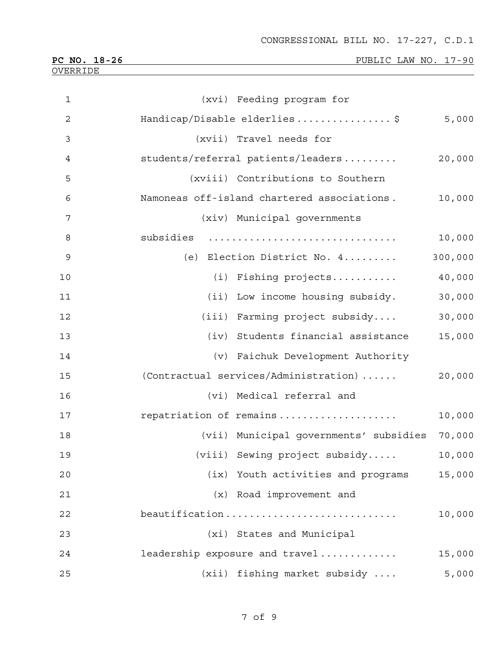| $\mathbf{1}$   | (xvi) Feeding program for                   |         |
|----------------|---------------------------------------------|---------|
| $\overline{c}$ | Handicap/Disable elderlies\$                | 5,000   |
| 3              | (xvii) Travel needs for                     |         |
| $\overline{4}$ | students/referral patients/leaders          | 20,000  |
| 5              | (xviii) Contributions to Southern           |         |
| 6              | Namoneas off-island chartered associations. | 10,000  |
| 7              | (xiv) Municipal governments                 |         |
| 8              | subsidies                                   | 10,000  |
| $\mathsf 9$    | (e) Election District No. 4                 | 300,000 |
| 10             | (i) Fishing projects                        | 40,000  |
| 11             | (ii) Low income housing subsidy.            | 30,000  |
| 12             | (iii) Farming project subsidy               | 30,000  |
| 13             | (iv) Students financial assistance          | 15,000  |
| 14             | (v) Faichuk Development Authority           |         |
| 15             | (Contractual services/Administration)       | 20,000  |
| 16             | (vi) Medical referral and                   |         |
| 17             | repatriation of remains                     | 10,000  |
| 18             | (vii) Municipal governments' subsidies      | 70,000  |
| 19             | (viii) Sewing project subsidy               | 10,000  |
| 20             | (ix) Youth activities and programs          | 15,000  |
| 21             | (x) Road improvement and                    |         |
| 22             | beautification                              | 10,000  |
| 23             | (xi) States and Municipal                   |         |
| 24             | leadership exposure and travel              | 15,000  |
| 25             | (xii) fishing market subsidy                | 5,000   |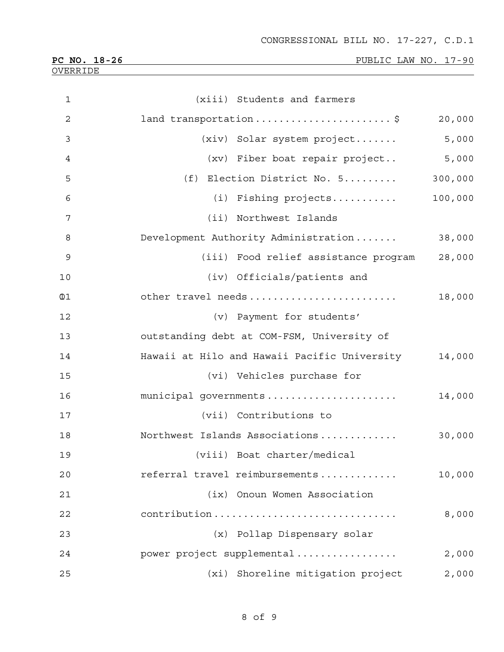CONGRESSIONAL BILL NO. 17-227, C.D.1

| PC NO. 18-26 |  |
|--------------|--|
| OVERRIDE     |  |

PUBLIC LAW NO. 17-90

| $\mathbf 1$    | (xiii) Students and farmers                  |         |
|----------------|----------------------------------------------|---------|
| $\overline{2}$ | land transportation\$                        | 20,000  |
| 3              | (xiv) Solar system project                   | 5,000   |
| 4              | (xv) Fiber boat repair project               | 5,000   |
| 5              | (f) Election District No. 5                  | 300,000 |
| 6              | (i) Fishing projects                         | 100,000 |
| 7              | (ii) Northwest Islands                       |         |
| 8              | Development Authority Administration         | 38,000  |
| $\mathsf 9$    | (iii) Food relief assistance program         | 28,000  |
| 10             | (iv) Officials/patients and                  |         |
| $\mathbb{0}1$  | other travel needs                           | 18,000  |
| 12             | (v) Payment for students'                    |         |
| 13             | outstanding debt at COM-FSM, University of   |         |
| 14             | Hawaii at Hilo and Hawaii Pacific University | 14,000  |
| 15             | (vi) Vehicles purchase for                   |         |
| 16             | municipal governments                        | 14,000  |
| 17             | (vii) Contributions to                       |         |
| 18             | Northwest Islands Associations               | 30,000  |
| 19             | (viii) Boat charter/medical                  |         |
| 20             | referral travel reimbursements               | 10,000  |
| 21             | (ix) Onoun Women Association                 |         |
| 22             | contribution                                 | 8,000   |
| 23             | (x) Pollap Dispensary solar                  |         |
| 24             | power project supplemental                   | 2,000   |
| 25             | (xi) Shoreline mitigation project            | 2,000   |